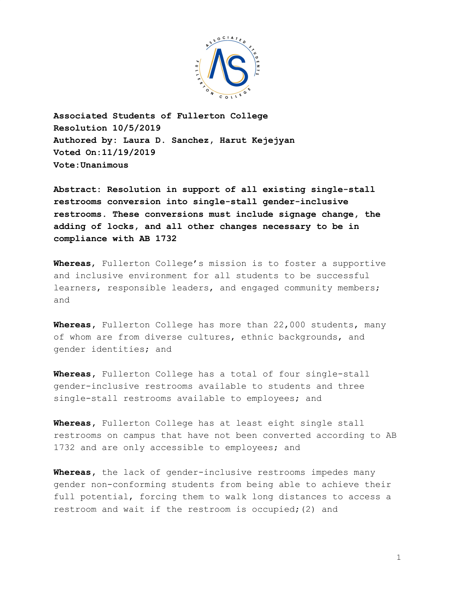

**Associated Students of Fullerton College Resolution 10/5/2019 Authored by: Laura D. Sanchez, Harut Kejejyan Voted On:11/19/2019 Vote:Unanimous**

**Abstract: Resolution in support of all existing single-stall restrooms conversion into single-stall gender-inclusive restrooms. These conversions must include signage change, the adding of locks, and all other changes necessary to be in compliance with AB 1732**

**Whereas**, Fullerton College's mission is to foster a supportive and inclusive environment for all students to be successful learners, responsible leaders, and engaged community members; and

**Whereas,** Fullerton College has more than 22,000 students, many of whom are from diverse cultures, ethnic backgrounds, and gender identities; and

**Whereas,** Fullerton College has a total of four single-stall gender-inclusive restrooms available to students and three single-stall restrooms available to employees; and

**Whereas,** Fullerton College has at least eight single stall restrooms on campus that have not been converted according to AB 1732 and are only accessible to employees; and

**Whereas,** the lack of gender-inclusive restrooms impedes many gender non-conforming students from being able to achieve their full potential, forcing them to walk long distances to access a restroom and wait if the restroom is occupied;(2) and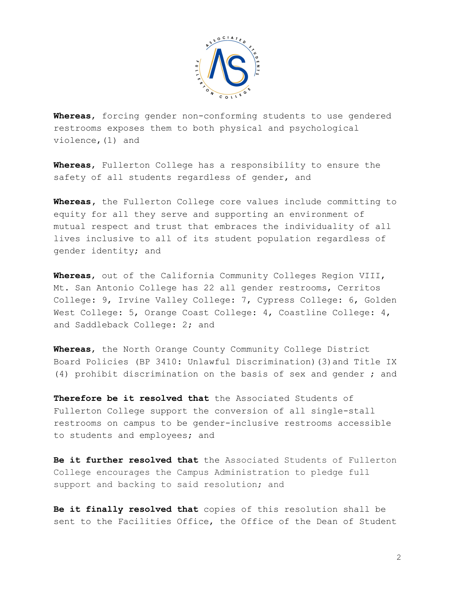

**Whereas**, forcing gender non-conforming students to use gendered restrooms exposes them to both physical and psychological violence,(1) and

**Whereas**, Fullerton College has a responsibility to ensure the safety of all students regardless of gender, and

**Whereas,** the Fullerton College core values include committing to equity for all they serve and supporting an environment of mutual respect and trust that embraces the individuality of all lives inclusive to all of its student population regardless of gender identity; and

**Whereas**, out of the California Community Colleges Region VIII, Mt. San Antonio College has 22 all gender restrooms, Cerritos College: 9, Irvine Valley College: 7, Cypress College: 6, Golden West College: 5, Orange Coast College: 4, Coastline College: 4, and Saddleback College: 2; and

**Whereas**, the North Orange County Community College District Board Policies (BP 3410: Unlawful Discrimination)(3)and Title IX (4) prohibit discrimination on the basis of sex and gender ; and

**Therefore be it resolved that** the Associated Students of Fullerton College support the conversion of all single-stall restrooms on campus to be gender-inclusive restrooms accessible to students and employees; and

**Be it further resolved that** the Associated Students of Fullerton College encourages the Campus Administration to pledge full support and backing to said resolution; and

**Be it finally resolved that** copies of this resolution shall be sent to the Facilities Office, the Office of the Dean of Student